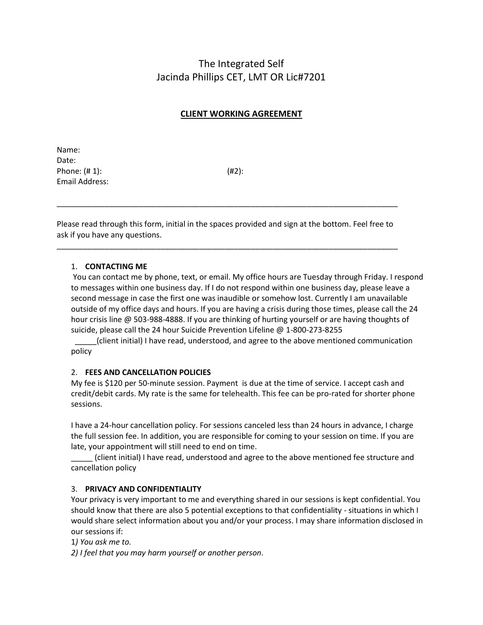# The Integrated Self Jacinda Phillips CET, LMT OR Lic#7201

# **CLIENT WORKING AGREEMENT**

Name: Date: Phone: (# 1): (#2): Email Address:

Please read through this form, initial in the spaces provided and sign at the bottom. Feel free to ask if you have any questions.

\_\_\_\_\_\_\_\_\_\_\_\_\_\_\_\_\_\_\_\_\_\_\_\_\_\_\_\_\_\_\_\_\_\_\_\_\_\_\_\_\_\_\_\_\_\_\_\_\_\_\_\_\_\_\_\_\_\_\_\_\_\_\_\_\_\_\_\_\_\_\_\_\_\_\_\_\_\_\_

\_\_\_\_\_\_\_\_\_\_\_\_\_\_\_\_\_\_\_\_\_\_\_\_\_\_\_\_\_\_\_\_\_\_\_\_\_\_\_\_\_\_\_\_\_\_\_\_\_\_\_\_\_\_\_\_\_\_\_\_\_\_\_\_\_\_\_\_\_\_\_\_\_\_\_\_\_\_\_

## 1. **CONTACTING ME**

You can contact me by phone, text, or email. My office hours are Tuesday through Friday. I respond to messages within one business day. If I do not respond within one business day, please leave a second message in case the first one was inaudible or somehow lost. Currently I am unavailable outside of my office days and hours. If you are having a crisis during those times, please call the 24 hour crisis line @ 503-988-4888. If you are thinking of hurting yourself or are having thoughts of suicide, please call the 24 hour Suicide Prevention Lifeline @ 1-800-273-8255

\_\_\_\_\_(client initial) I have read, understood, and agree to the above mentioned communication policy

#### 2. **FEES AND CANCELLATION POLICIES**

My fee is \$120 per 50-minute session. Payment is due at the time of service. I accept cash and credit/debit cards. My rate is the same for telehealth. This fee can be pro-rated for shorter phone sessions.

I have a 24-hour cancellation policy. For sessions canceled less than 24 hours in advance, I charge the full session fee. In addition, you are responsible for coming to your session on time. If you are late, your appointment will still need to end on time.

\_\_\_\_\_ (client initial) I have read, understood and agree to the above mentioned fee structure and cancellation policy

#### 3. **PRIVACY AND CONFIDENTIALITY**

Your privacy is very important to me and everything shared in our sessions is kept confidential. You should know that there are also 5 potential exceptions to that confidentiality - situations in which I would share select information about you and/or your process. I may share information disclosed in our sessions if:

1*) You ask me to.* 

*2) I feel that you may harm yourself or another person*.